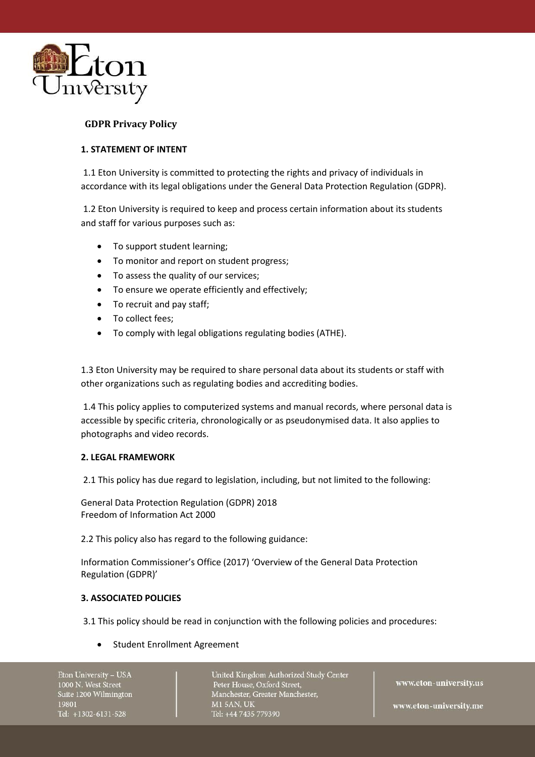

# **GDPR Privacy Policy**

# **1. STATEMENT OF INTENT**

1.1 Eton University is committed to protecting the rights and privacy of individuals in accordance with its legal obligations under the General Data Protection Regulation (GDPR).

1.2 Eton University is required to keep and process certain information about its students and staff for various purposes such as:

- To support student learning;
- To monitor and report on student progress;
- To assess the quality of our services;
- To ensure we operate efficiently and effectively;
- To recruit and pay staff;
- To collect fees;
- To comply with legal obligations regulating bodies (ATHE).

1.3 Eton University may be required to share personal data about its students or staff with other organizations such as regulating bodies and accrediting bodies.

1.4 This policy applies to computerized systems and manual records, where personal data is accessible by specific criteria, chronologically or as pseudonymised data. It also applies to photographs and video records.

### **2. LEGAL FRAMEWORK**

2.1 This policy has due regard to legislation, including, but not limited to the following:

General Data Protection Regulation (GDPR) 2018 Freedom of Information Act 2000

2.2 This policy also has regard to the following guidance:

Information Commissioner's Office (2017) 'Overview of the General Data Protection Regulation (GDPR)'

### **3. ASSOCIATED POLICIES**

3.1 This policy should be read in conjunction with the following policies and procedures:

Student Enrollment Agreement

Eton University - USA 1000 N. West Street Suite 1200 Wilmington 19801 Tel: +1302-6131-528

United Kingdom Authorized Study Center Peter House, Oxford Street, Manchester, Greater Manchester, **M1 5AN, UK** Tel: +44 7435 779390

www.eton-university.us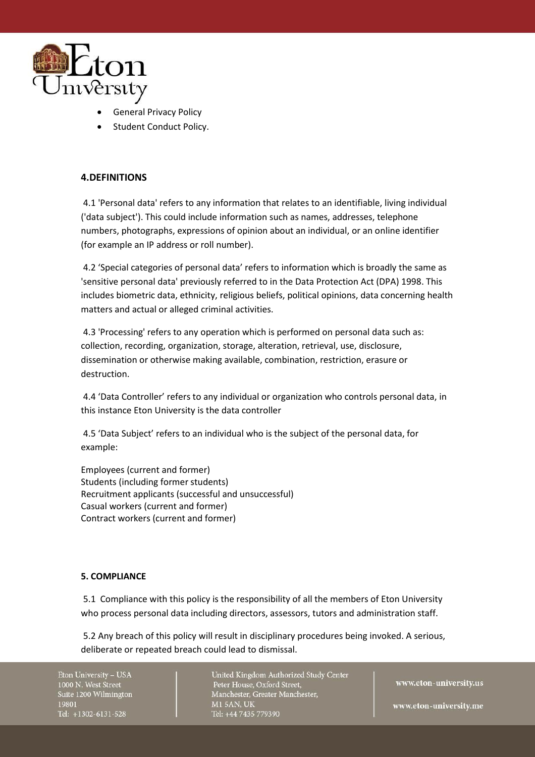

- **General Privacy Policy**
- Student Conduct Policy.

# **4.DEFINITIONS**

4.1 'Personal data' refers to any information that relates to an identifiable, living individual ('data subject'). This could include information such as names, addresses, telephone numbers, photographs, expressions of opinion about an individual, or an online identifier (for example an IP address or roll number).

4.2 'Special categories of personal data' refers to information which is broadly the same as 'sensitive personal data' previously referred to in the Data Protection Act (DPA) 1998. This includes biometric data, ethnicity, religious beliefs, political opinions, data concerning health matters and actual or alleged criminal activities.

4.3 'Processing' refers to any operation which is performed on personal data such as: collection, recording, organization, storage, alteration, retrieval, use, disclosure, dissemination or otherwise making available, combination, restriction, erasure or destruction.

4.4 'Data Controller' refers to any individual or organization who controls personal data, in this instance Eton University is the data controller

4.5 'Data Subject' refers to an individual who is the subject of the personal data, for example:

Employees (current and former) Students (including former students) Recruitment applicants (successful and unsuccessful) Casual workers (current and former) Contract workers (current and former)

### **5. COMPLIANCE**

5.1 Compliance with this policy is the responsibility of all the members of Eton University who process personal data including directors, assessors, tutors and administration staff.

5.2 Any breach of this policy will result in disciplinary procedures being invoked. A serious, deliberate or repeated breach could lead to dismissal.

Eton University - USA 1000 N. West Street Suite 1200 Wilmington 19801 Tel: +1302-6131-528

United Kingdom Authorized Study Center Peter House, Oxford Street, Manchester, Greater Manchester, **M1 5AN, UK** Tel: +44 7435 779390

www.eton-university.us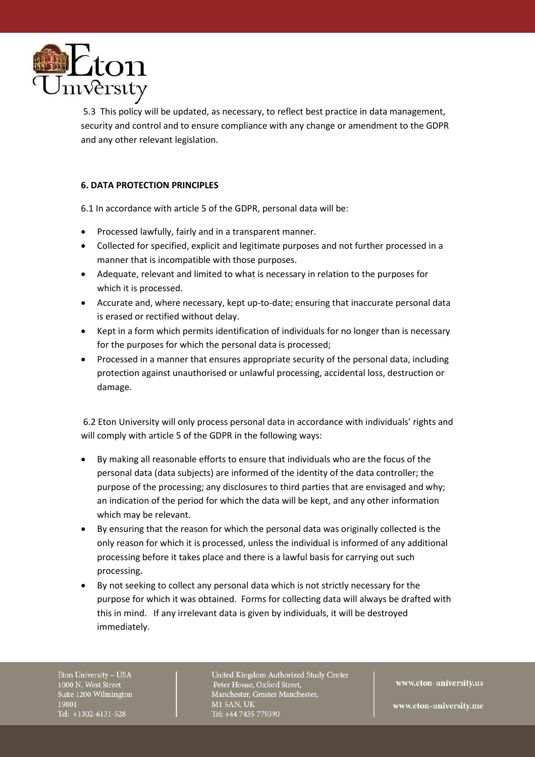

5.3 This policy will be updated, as necessary, to reflect best practice in data management, security and control and to ensure compliance with any change or amendment to the GDPR and any other relevant legislation.

# **6. DATA PROTECTION PRINCIPLES**

6.1 In accordance with article 5 of the GDPR, personal data will be:

- Processed lawfully, fairly and in a transparent manner.
- Collected for specified, explicit and legitimate purposes and not further processed in a manner that is incompatible with those purposes.
- Adequate, relevant and limited to what is necessary in relation to the purposes for which it is processed.
- Accurate and, where necessary, kept up-to-date; ensuring that inaccurate personal data is erased or rectified without delay.
- Kept in a form which permits identification of individuals for no longer than is necessary for the purposes for which the personal data is processed;
- Processed in a manner that ensures appropriate security of the personal data, including protection against unauthorised or unlawful processing, accidental loss, destruction or damage.

6.2 Eton University will only process personal data in accordance with individuals' rights and will comply with article 5 of the GDPR in the following ways:

- By making all reasonable efforts to ensure that individuals who are the focus of the personal data (data subjects) are informed of the identity of the data controller; the purpose of the processing; any disclosures to third parties that are envisaged and why; an indication of the period for which the data will be kept, and any other information which may be relevant.
- By ensuring that the reason for which the personal data was originally collected is the only reason for which it is processed, unless the individual is informed of any additional processing before it takes place and there is a lawful basis for carrying out such processing.
- By not seeking to collect any personal data which is not strictly necessary for the purpose for which it was obtained. Forms for collecting data will always be drafted with this in mind. If any irrelevant data is given by individuals, it will be destroyed immediately.

Eton University - USA 1000 N. West Street Suite 1200 Wilmington 19801 Tel: +1302-6131-528

United Kingdom Authorized Study Center Peter House, Oxford Street, Manchester, Greater Manchester, **M15AN, UK** Tel: +44 7435 779390

www.eton-university.us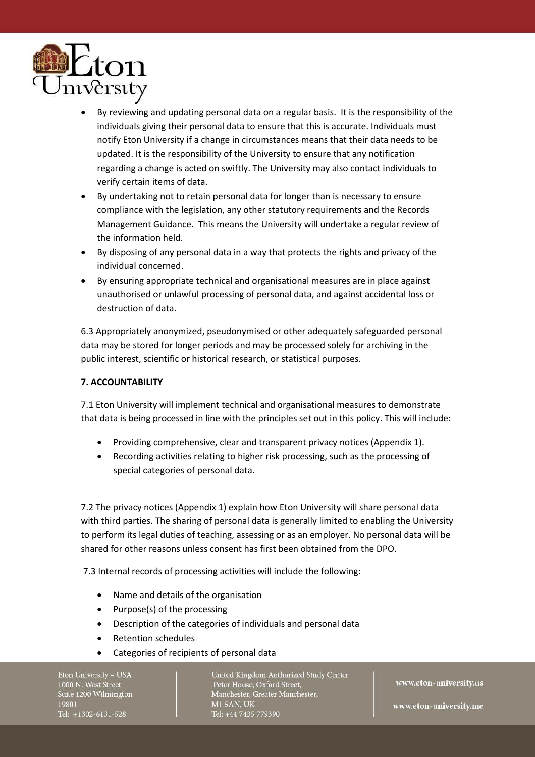

- By reviewing and updating personal data on a regular basis. It is the responsibility of the individuals giving their personal data to ensure that this is accurate. Individuals must notify Eton University if a change in circumstances means that their data needs to be updated. It is the responsibility of the University to ensure that any notification regarding a change is acted on swiftly. The University may also contact individuals to verify certain items of data.
- By undertaking not to retain personal data for longer than is necessary to ensure compliance with the legislation, any other statutory requirements and the Records Management Guidance. This means the University will undertake a regular review of the information held.
- By disposing of any personal data in a way that protects the rights and privacy of the individual concerned.
- By ensuring appropriate technical and organisational measures are in place against unauthorised or unlawful processing of personal data, and against accidental loss or destruction of data.

6.3 Appropriately anonymized, pseudonymised or other adequately safeguarded personal data may be stored for longer periods and may be processed solely for archiving in the public interest, scientific or historical research, or statistical purposes.

### **7. ACCOUNTABILITY**

7.1 Eton University will implement technical and organisational measures to demonstrate that data is being processed in line with the principles set out in this policy. This will include:

- Providing comprehensive, clear and transparent privacy notices (Appendix 1).
- Recording activities relating to higher risk processing, such as the processing of special categories of personal data.

7.2 The privacy notices (Appendix 1) explain how Eton University will share personal data with third parties. The sharing of personal data is generally limited to enabling the University to perform its legal duties of teaching, assessing or as an employer. No personal data will be shared for other reasons unless consent has first been obtained from the DPO.

7.3 Internal records of processing activities will include the following:

- Name and details of the organisation
- Purpose(s) of the processing
- Description of the categories of individuals and personal data
- Retention schedules
- Categories of recipients of personal data

Eton University - USA 1000 N. West Street Suite 1200 Wilmington 19801 Tel: +1302-6131-528

United Kingdom Authorized Study Center Peter House, Oxford Street, Manchester, Greater Manchester, **M15AN, UK** Tel: +44 7435 779390

www.eton-university.us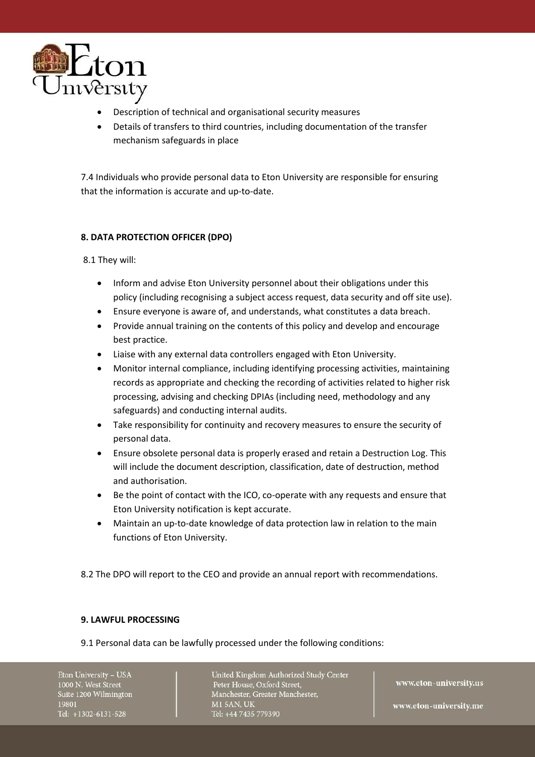

- Description of technical and organisational security measures
- Details of transfers to third countries, including documentation of the transfer mechanism safeguards in place

7.4 Individuals who provide personal data to Eton University are responsible for ensuring that the information is accurate and up-to-date.

# **8. DATA PROTECTION OFFICER (DPO)**

8.1 They will:

- Inform and advise Eton University personnel about their obligations under this policy (including recognising a subject access request, data security and off site use).
- Ensure everyone is aware of, and understands, what constitutes a data breach.
- Provide annual training on the contents of this policy and develop and encourage best practice.
- Liaise with any external data controllers engaged with Eton University.
- Monitor internal compliance, including identifying processing activities, maintaining records as appropriate and checking the recording of activities related to higher risk processing, advising and checking DPIAs (including need, methodology and any safeguards) and conducting internal audits.
- Take responsibility for continuity and recovery measures to ensure the security of personal data.
- Ensure obsolete personal data is properly erased and retain a Destruction Log. This will include the document description, classification, date of destruction, method and authorisation.
- Be the point of contact with the ICO, co-operate with any requests and ensure that Eton University notification is kept accurate.
- Maintain an up-to-date knowledge of data protection law in relation to the main functions of Eton University.
- 8.2 The DPO will report to the CEO and provide an annual report with recommendations.

### **9. LAWFUL PROCESSING**

9.1 Personal data can be lawfully processed under the following conditions:

Eton University - USA 1000 N. West Street Suite 1200 Wilmington 19801 Tel: +1302-6131-528

United Kingdom Authorized Study Center Peter House, Oxford Street, Manchester, Greater Manchester, **M15AN, UK** Tel: +44 7435 779390

www.eton-university.us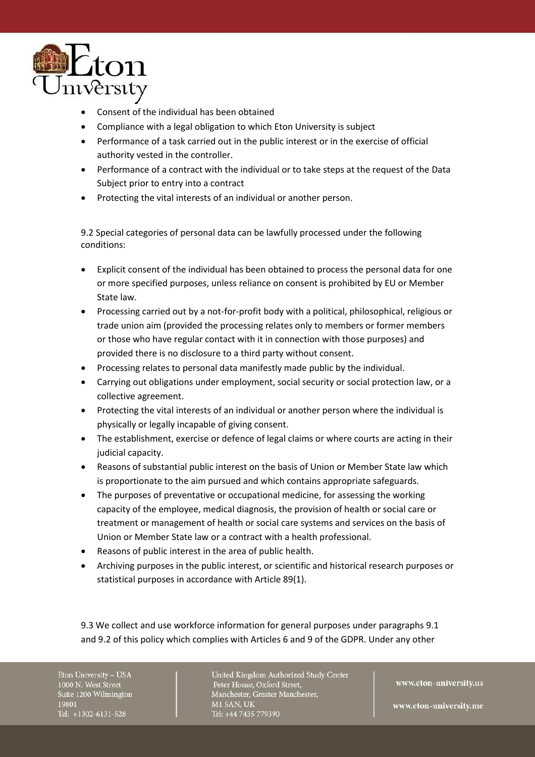

- Consent of the individual has been obtained
- Compliance with a legal obligation to which Eton University is subject
- Performance of a task carried out in the public interest or in the exercise of official authority vested in the controller.
- Performance of a contract with the individual or to take steps at the request of the Data Subject prior to entry into a contract
- Protecting the vital interests of an individual or another person.

9.2 Special categories of personal data can be lawfully processed under the following conditions:

- Explicit consent of the individual has been obtained to process the personal data for one or more specified purposes, unless reliance on consent is prohibited by EU or Member State law.
- Processing carried out by a not-for-profit body with a political, philosophical, religious or trade union aim (provided the processing relates only to members or former members or those who have regular contact with it in connection with those purposes) and provided there is no disclosure to a third party without consent.
- Processing relates to personal data manifestly made public by the individual.
- Carrying out obligations under employment, social security or social protection law, or a collective agreement.
- Protecting the vital interests of an individual or another person where the individual is physically or legally incapable of giving consent.
- The establishment, exercise or defence of legal claims or where courts are acting in their judicial capacity.
- Reasons of substantial public interest on the basis of Union or Member State law which is proportionate to the aim pursued and which contains appropriate safeguards.
- The purposes of preventative or occupational medicine, for assessing the working capacity of the employee, medical diagnosis, the provision of health or social care or treatment or management of health or social care systems and services on the basis of Union or Member State law or a contract with a health professional.
- Reasons of public interest in the area of public health.
- Archiving purposes in the public interest, or scientific and historical research purposes or statistical purposes in accordance with Article 89(1).

9.3 We collect and use workforce information for general purposes under paragraphs 9.1 and 9.2 of this policy which complies with Articles 6 and 9 of the GDPR. Under any other

Eton University - USA 1000 N. West Street Suite 1200 Wilmington 19801 Tel: +1302-6131-528

United Kingdom Authorized Study Center Peter House, Oxford Street, Manchester, Greater Manchester, **M15AN, UK** Tel: +44 7435 779390

www.eton-university.us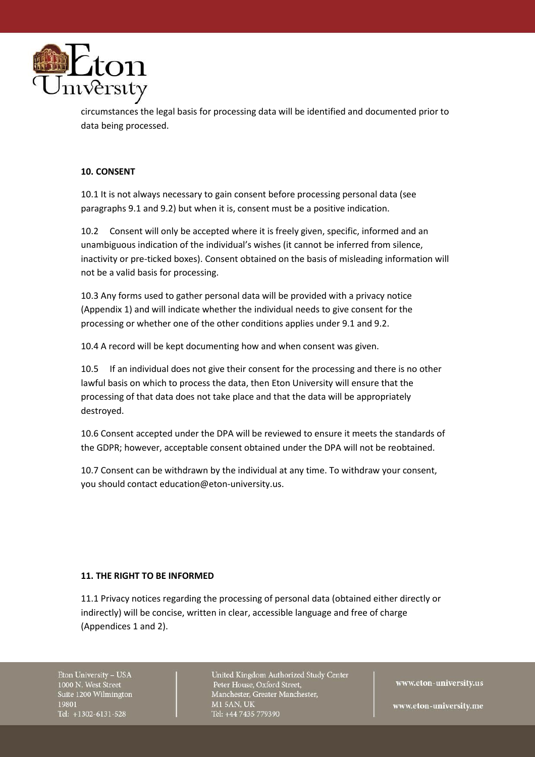

circumstances the legal basis for processing data will be identified and documented prior to data being processed.

### **10. CONSENT**

10.1 It is not always necessary to gain consent before processing personal data (see paragraphs 9.1 and 9.2) but when it is, consent must be a positive indication.

10.2 Consent will only be accepted where it is freely given, specific, informed and an unambiguous indication of the individual's wishes (it cannot be inferred from silence, inactivity or pre-ticked boxes). Consent obtained on the basis of misleading information will not be a valid basis for processing.

10.3 Any forms used to gather personal data will be provided with a privacy notice (Appendix 1) and will indicate whether the individual needs to give consent for the processing or whether one of the other conditions applies under 9.1 and 9.2.

10.4 A record will be kept documenting how and when consent was given.

10.5 If an individual does not give their consent for the processing and there is no other lawful basis on which to process the data, then Eton University will ensure that the processing of that data does not take place and that the data will be appropriately destroyed.

10.6 Consent accepted under the DPA will be reviewed to ensure it meets the standards of the GDPR; however, acceptable consent obtained under the DPA will not be reobtained.

10.7 Consent can be withdrawn by the individual at any time. To withdraw your consent, you should contact education@eton-university.us.

### **11. THE RIGHT TO BE INFORMED**

11.1 Privacy notices regarding the processing of personal data (obtained either directly or indirectly) will be concise, written in clear, accessible language and free of charge (Appendices 1 and 2).

Eton University - USA 1000 N. West Street Suite 1200 Wilmington 19801 Tel: +1302-6131-528

United Kingdom Authorized Study Center Peter House, Oxford Street, Manchester, Greater Manchester, **M1 5AN, UK** Tel: +44 7435 779390

www.eton-university.us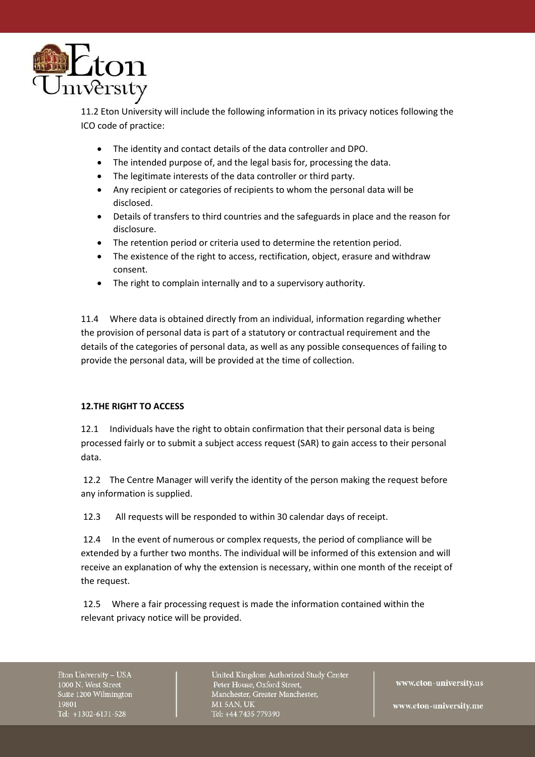

11.2 Eton University will include the following information in its privacy notices following the ICO code of practice:

- The identity and contact details of the data controller and DPO.
- The intended purpose of, and the legal basis for, processing the data.
- The legitimate interests of the data controller or third party.
- Any recipient or categories of recipients to whom the personal data will be disclosed.
- Details of transfers to third countries and the safeguards in place and the reason for disclosure.
- The retention period or criteria used to determine the retention period.
- The existence of the right to access, rectification, object, erasure and withdraw consent.
- The right to complain internally and to a supervisory authority.

11.4 Where data is obtained directly from an individual, information regarding whether the provision of personal data is part of a statutory or contractual requirement and the details of the categories of personal data, as well as any possible consequences of failing to provide the personal data, will be provided at the time of collection.

### **12.THE RIGHT TO ACCESS**

12.1 Individuals have the right to obtain confirmation that their personal data is being processed fairly or to submit a subject access request (SAR) to gain access to their personal data.

12.2 The Centre Manager will verify the identity of the person making the request before any information is supplied.

12.3 All requests will be responded to within 30 calendar days of receipt.

12.4 In the event of numerous or complex requests, the period of compliance will be extended by a further two months. The individual will be informed of this extension and will receive an explanation of why the extension is necessary, within one month of the receipt of the request.

12.5 Where a fair processing request is made the information contained within the relevant privacy notice will be provided.

Eton University - USA 1000 N. West Street Suite 1200 Wilmington 19801 Tel: +1302-6131-528

United Kingdom Authorized Study Center Peter House, Oxford Street, Manchester, Greater Manchester, **M1 5AN, UK** Tel: +44 7435 779390

www.eton-university.us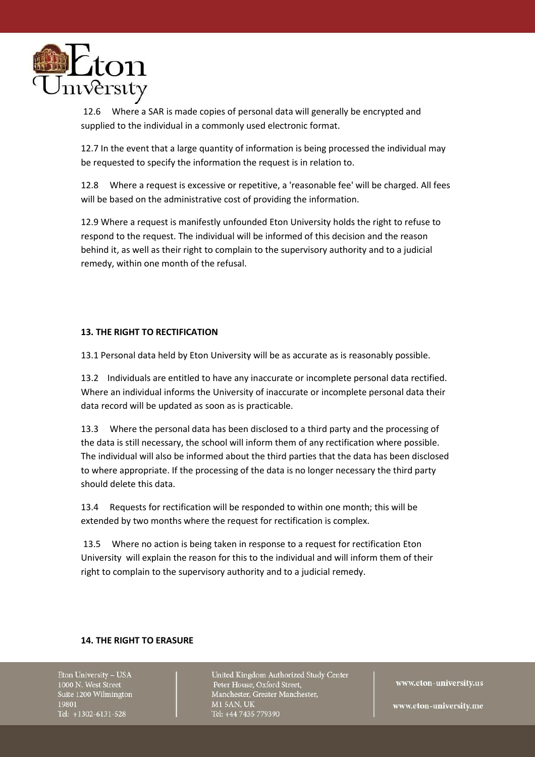

12.6 Where a SAR is made copies of personal data will generally be encrypted and supplied to the individual in a commonly used electronic format.

12.7 In the event that a large quantity of information is being processed the individual may be requested to specify the information the request is in relation to.

12.8 Where a request is excessive or repetitive, a 'reasonable fee' will be charged. All fees will be based on the administrative cost of providing the information.

12.9 Where a request is manifestly unfounded Eton University holds the right to refuse to respond to the request. The individual will be informed of this decision and the reason behind it, as well as their right to complain to the supervisory authority and to a judicial remedy, within one month of the refusal.

# **13. THE RIGHT TO RECTIFICATION**

13.1 Personal data held by Eton University will be as accurate as is reasonably possible.

13.2 Individuals are entitled to have any inaccurate or incomplete personal data rectified. Where an individual informs the University of inaccurate or incomplete personal data their data record will be updated as soon as is practicable.

13.3 Where the personal data has been disclosed to a third party and the processing of the data is still necessary, the school will inform them of any rectification where possible. The individual will also be informed about the third parties that the data has been disclosed to where appropriate. If the processing of the data is no longer necessary the third party should delete this data.

13.4 Requests for rectification will be responded to within one month; this will be extended by two months where the request for rectification is complex.

13.5 Where no action is being taken in response to a request for rectification Eton University will explain the reason for this to the individual and will inform them of their right to complain to the supervisory authority and to a judicial remedy.

### **14. THE RIGHT TO ERASURE**

Eton University - USA 1000 N. West Street Suite 1200 Wilmington 19801 Tel: +1302-6131-528

United Kingdom Authorized Study Center Peter House, Oxford Street, Manchester, Greater Manchester, **M1 5AN, UK** Tel: +44 7435 779390

www.eton-university.us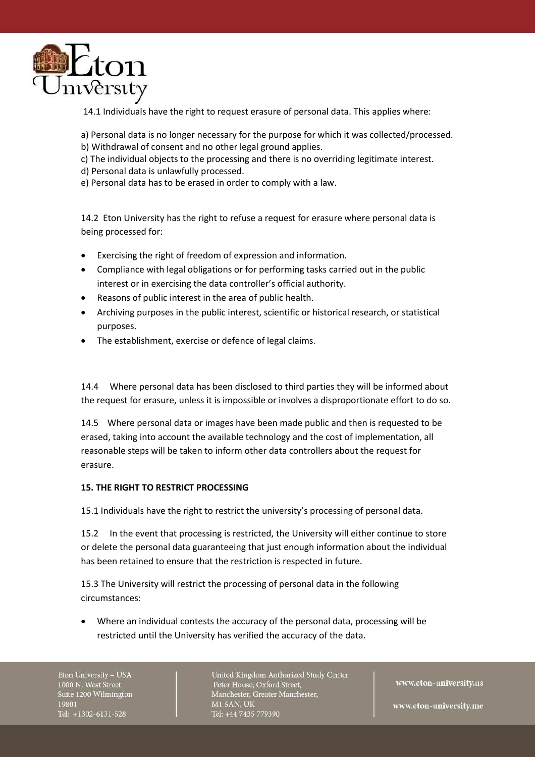

14.1 Individuals have the right to request erasure of personal data. This applies where:

- a) Personal data is no longer necessary for the purpose for which it was collected/processed.
- b) Withdrawal of consent and no other legal ground applies.
- c) The individual objects to the processing and there is no overriding legitimate interest.
- d) Personal data is unlawfully processed.
- e) Personal data has to be erased in order to comply with a law.

14.2 Eton University has the right to refuse a request for erasure where personal data is being processed for:

- Exercising the right of freedom of expression and information.
- Compliance with legal obligations or for performing tasks carried out in the public interest or in exercising the data controller's official authority.
- Reasons of public interest in the area of public health.
- Archiving purposes in the public interest, scientific or historical research, or statistical purposes.
- The establishment, exercise or defence of legal claims.

14.4 Where personal data has been disclosed to third parties they will be informed about the request for erasure, unless it is impossible or involves a disproportionate effort to do so.

14.5 Where personal data or images have been made public and then is requested to be erased, taking into account the available technology and the cost of implementation, all reasonable steps will be taken to inform other data controllers about the request for erasure.

### **15. THE RIGHT TO RESTRICT PROCESSING**

15.1 Individuals have the right to restrict the university's processing of personal data.

15.2 In the event that processing is restricted, the University will either continue to store or delete the personal data guaranteeing that just enough information about the individual has been retained to ensure that the restriction is respected in future.

15.3 The University will restrict the processing of personal data in the following circumstances:

• Where an individual contests the accuracy of the personal data, processing will be restricted until the University has verified the accuracy of the data.

Eton University - USA 1000 N. West Street Suite 1200 Wilmington 19801 Tel: +1302-6131-528

United Kingdom Authorized Study Center Peter House, Oxford Street, Manchester, Greater Manchester, **M1 5AN, UK** Tel: +44 7435 779390

www.eton-university.us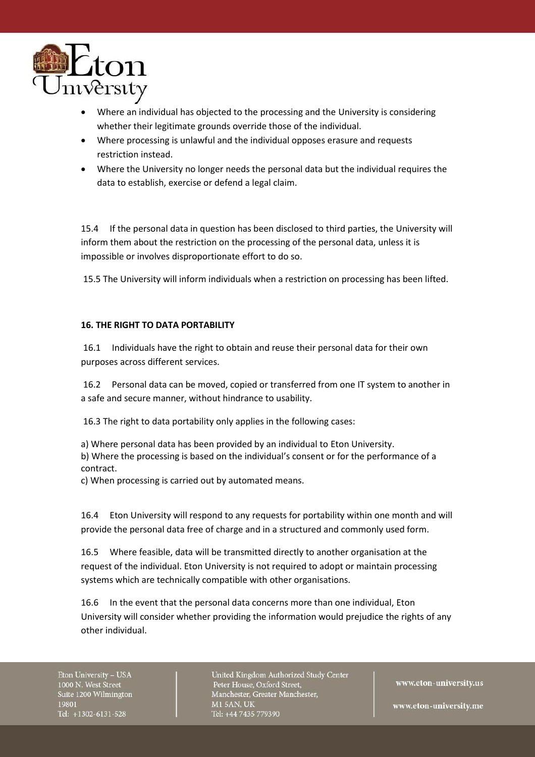

- Where an individual has objected to the processing and the University is considering whether their legitimate grounds override those of the individual.
- Where processing is unlawful and the individual opposes erasure and requests restriction instead.
- Where the University no longer needs the personal data but the individual requires the data to establish, exercise or defend a legal claim.

15.4 If the personal data in question has been disclosed to third parties, the University will inform them about the restriction on the processing of the personal data, unless it is impossible or involves disproportionate effort to do so.

15.5 The University will inform individuals when a restriction on processing has been lifted.

# **16. THE RIGHT TO DATA PORTABILITY**

16.1 Individuals have the right to obtain and reuse their personal data for their own purposes across different services.

16.2 Personal data can be moved, copied or transferred from one IT system to another in a safe and secure manner, without hindrance to usability.

16.3 The right to data portability only applies in the following cases:

a) Where personal data has been provided by an individual to Eton University. b) Where the processing is based on the individual's consent or for the performance of a contract.

c) When processing is carried out by automated means.

16.4 Eton University will respond to any requests for portability within one month and will provide the personal data free of charge and in a structured and commonly used form.

16.5 Where feasible, data will be transmitted directly to another organisation at the request of the individual. Eton University is not required to adopt or maintain processing systems which are technically compatible with other organisations.

16.6 In the event that the personal data concerns more than one individual, Eton University will consider whether providing the information would prejudice the rights of any other individual.

Eton University - USA 1000 N. West Street Suite 1200 Wilmington 19801 Tel: +1302-6131-528

United Kingdom Authorized Study Center Peter House, Oxford Street, Manchester, Greater Manchester, **M15AN, UK** Tel: +44 7435 779390

www.eton-university.us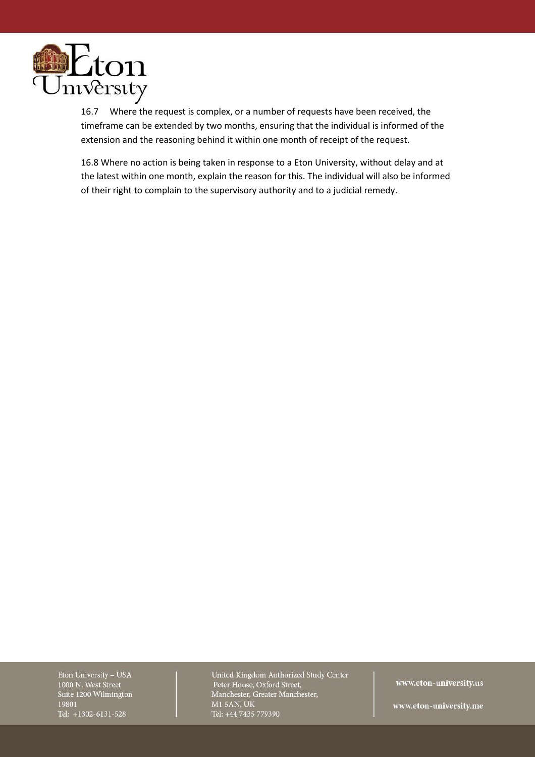

16.7 Where the request is complex, or a number of requests have been received, the timeframe can be extended by two months, ensuring that the individual is informed of the extension and the reasoning behind it within one month of receipt of the request.

16.8 Where no action is being taken in response to a Eton University, without delay and at the latest within one month, explain the reason for this. The individual will also be informed of their right to complain to the supervisory authority and to a judicial remedy.

Eton University - USA 1000 N. West Street Suite 1200 Wilmington 19801 Tel: +1302-6131-528

United Kingdom Authorized Study Center Peter House, Oxford Street, Manchester, Greater Manchester, **M1 5AN, UK** Tel: +44 7435 779390

www.eton-university.us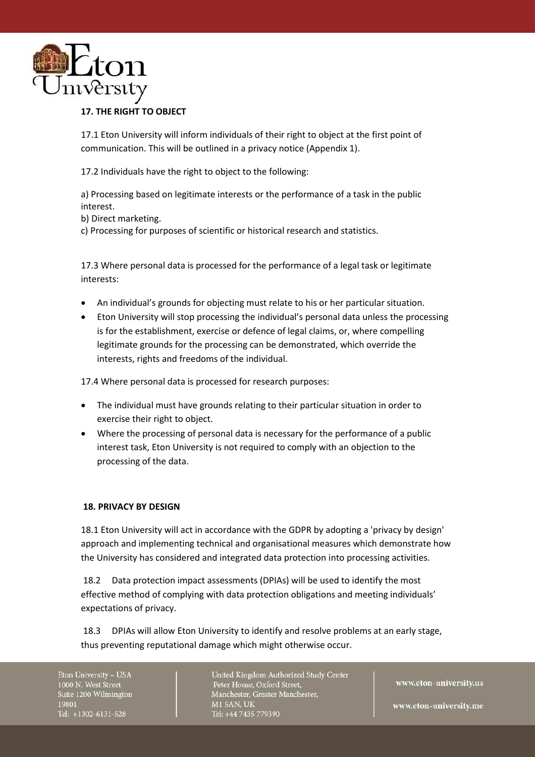

# **17. THE RIGHT TO OBJECT**

17.1 Eton University will inform individuals of their right to object at the first point of communication. This will be outlined in a privacy notice (Appendix 1).

17.2 Individuals have the right to object to the following:

a) Processing based on legitimate interests or the performance of a task in the public interest.

b) Direct marketing.

c) Processing for purposes of scientific or historical research and statistics.

17.3 Where personal data is processed for the performance of a legal task or legitimate interests:

- An individual's grounds for objecting must relate to his or her particular situation.
- Eton University will stop processing the individual's personal data unless the processing is for the establishment, exercise or defence of legal claims, or, where compelling legitimate grounds for the processing can be demonstrated, which override the interests, rights and freedoms of the individual.

17.4 Where personal data is processed for research purposes:

- The individual must have grounds relating to their particular situation in order to exercise their right to object.
- Where the processing of personal data is necessary for the performance of a public interest task, Eton University is not required to comply with an objection to the processing of the data.

# **18. PRIVACY BY DESIGN**

18.1 Eton University will act in accordance with the GDPR by adopting a 'privacy by design' approach and implementing technical and organisational measures which demonstrate how the University has considered and integrated data protection into processing activities.

18.2 Data protection impact assessments (DPIAs) will be used to identify the most effective method of complying with data protection obligations and meeting individuals' expectations of privacy.

18.3 DPIAs will allow Eton University to identify and resolve problems at an early stage, thus preventing reputational damage which might otherwise occur.

Eton University - USA 1000 N. West Street Suite 1200 Wilmington 19801 Tel: +1302-6131-528

United Kingdom Authorized Study Center Peter House, Oxford Street, Manchester, Greater Manchester, **M15AN, UK** Tel: +44 7435 779390

www.eton-university.us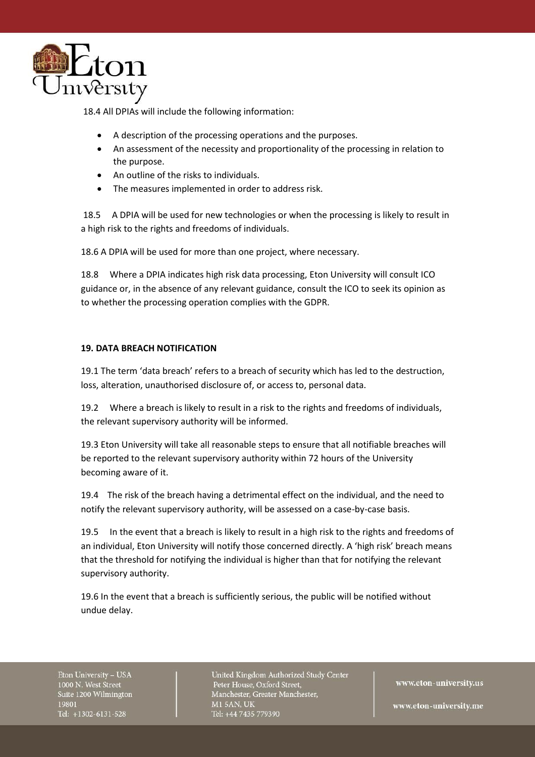

18.4 All DPIAs will include the following information:

- A description of the processing operations and the purposes.
- An assessment of the necessity and proportionality of the processing in relation to the purpose.
- An outline of the risks to individuals.
- The measures implemented in order to address risk.

18.5 A DPIA will be used for new technologies or when the processing is likely to result in a high risk to the rights and freedoms of individuals.

18.6 A DPIA will be used for more than one project, where necessary.

18.8 Where a DPIA indicates high risk data processing, Eton University will consult ICO guidance or, in the absence of any relevant guidance, consult the ICO to seek its opinion as to whether the processing operation complies with the GDPR.

### **19. DATA BREACH NOTIFICATION**

19.1 The term 'data breach' refers to a breach of security which has led to the destruction, loss, alteration, unauthorised disclosure of, or access to, personal data.

19.2 Where a breach is likely to result in a risk to the rights and freedoms of individuals, the relevant supervisory authority will be informed.

19.3 Eton University will take all reasonable steps to ensure that all notifiable breaches will be reported to the relevant supervisory authority within 72 hours of the University becoming aware of it.

19.4 The risk of the breach having a detrimental effect on the individual, and the need to notify the relevant supervisory authority, will be assessed on a case-by-case basis.

19.5 In the event that a breach is likely to result in a high risk to the rights and freedoms of an individual, Eton University will notify those concerned directly. A 'high risk' breach means that the threshold for notifying the individual is higher than that for notifying the relevant supervisory authority.

19.6 In the event that a breach is sufficiently serious, the public will be notified without undue delay.

Eton University - USA 1000 N. West Street Suite 1200 Wilmington 19801 Tel: +1302-6131-528

United Kingdom Authorized Study Center Peter House, Oxford Street, Manchester, Greater Manchester, **M15AN, UK** Tel: +44 7435 779390

www.eton-university.us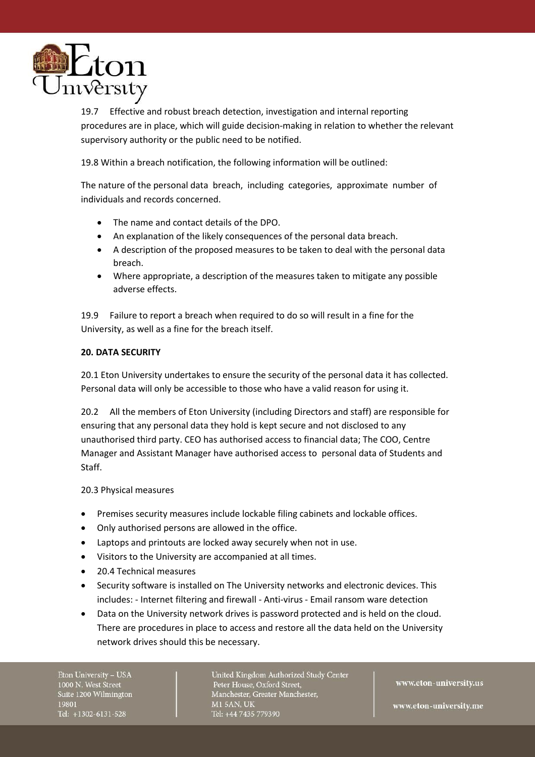

19.7 Effective and robust breach detection, investigation and internal reporting procedures are in place, which will guide decision-making in relation to whether the relevant supervisory authority or the public need to be notified.

19.8 Within a breach notification, the following information will be outlined:

The nature of the personal data breach, including categories, approximate number of individuals and records concerned.

- The name and contact details of the DPO.
- An explanation of the likely consequences of the personal data breach.
- A description of the proposed measures to be taken to deal with the personal data breach.
- Where appropriate, a description of the measures taken to mitigate any possible adverse effects.

19.9 Failure to report a breach when required to do so will result in a fine for the University, as well as a fine for the breach itself.

# **20. DATA SECURITY**

20.1 Eton University undertakes to ensure the security of the personal data it has collected. Personal data will only be accessible to those who have a valid reason for using it.

20.2 All the members of Eton University (including Directors and staff) are responsible for ensuring that any personal data they hold is kept secure and not disclosed to any unauthorised third party. CEO has authorised access to financial data; The COO, Centre Manager and Assistant Manager have authorised access to personal data of Students and Staff.

20.3 Physical measures

- Premises security measures include lockable filing cabinets and lockable offices.
- Only authorised persons are allowed in the office.
- Laptops and printouts are locked away securely when not in use.
- Visitors to the University are accompanied at all times.
- 20.4 Technical measures
- Security software is installed on The University networks and electronic devices. This includes: - Internet filtering and firewall - Anti-virus - Email ransom ware detection
- Data on the University network drives is password protected and is held on the cloud. There are procedures in place to access and restore all the data held on the University network drives should this be necessary.

Eton University - USA 1000 N. West Street Suite 1200 Wilmington 19801 Tel: +1302-6131-528

United Kingdom Authorized Study Center Peter House, Oxford Street, Manchester, Greater Manchester, **M15AN, UK** Tel: +44 7435 779390

www.eton-university.us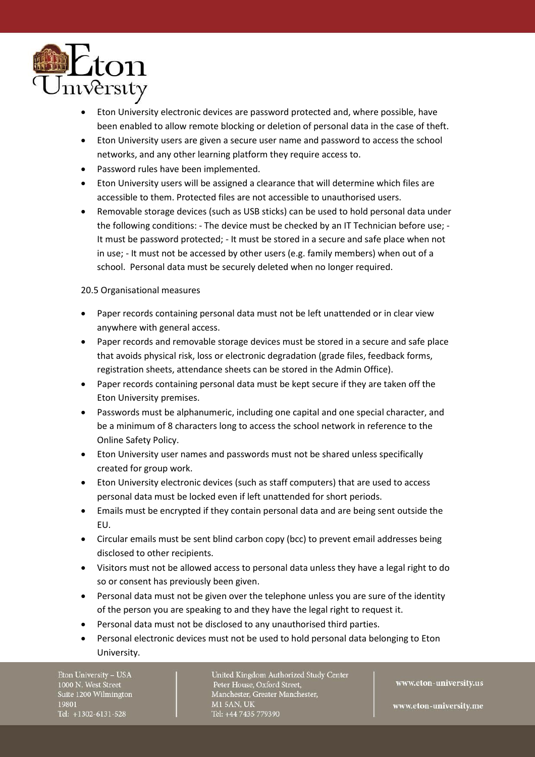

- Eton University electronic devices are password protected and, where possible, have been enabled to allow remote blocking or deletion of personal data in the case of theft.
- Eton University users are given a secure user name and password to access the school networks, and any other learning platform they require access to.
- Password rules have been implemented.
- Eton University users will be assigned a clearance that will determine which files are accessible to them. Protected files are not accessible to unauthorised users.
- Removable storage devices (such as USB sticks) can be used to hold personal data under the following conditions: - The device must be checked by an IT Technician before use; - It must be password protected; - It must be stored in a secure and safe place when not in use; - It must not be accessed by other users (e.g. family members) when out of a school. Personal data must be securely deleted when no longer required.

# 20.5 Organisational measures

- Paper records containing personal data must not be left unattended or in clear view anywhere with general access.
- Paper records and removable storage devices must be stored in a secure and safe place that avoids physical risk, loss or electronic degradation (grade files, feedback forms, registration sheets, attendance sheets can be stored in the Admin Office).
- Paper records containing personal data must be kept secure if they are taken off the Eton University premises.
- Passwords must be alphanumeric, including one capital and one special character, and be a minimum of 8 characters long to access the school network in reference to the Online Safety Policy.
- Eton University user names and passwords must not be shared unless specifically created for group work.
- Eton University electronic devices (such as staff computers) that are used to access personal data must be locked even if left unattended for short periods.
- Emails must be encrypted if they contain personal data and are being sent outside the EU.
- Circular emails must be sent blind carbon copy (bcc) to prevent email addresses being disclosed to other recipients.
- Visitors must not be allowed access to personal data unless they have a legal right to do so or consent has previously been given.
- Personal data must not be given over the telephone unless you are sure of the identity of the person you are speaking to and they have the legal right to request it.
- Personal data must not be disclosed to any unauthorised third parties.
- Personal electronic devices must not be used to hold personal data belonging to Eton University.

Eton University - USA 1000 N. West Street Suite 1200 Wilmington 19801 Tel: +1302-6131-528

United Kingdom Authorized Study Center Peter House, Oxford Street, Manchester, Greater Manchester, **M15AN, UK** Tel: +44 7435 779390

www.eton-university.us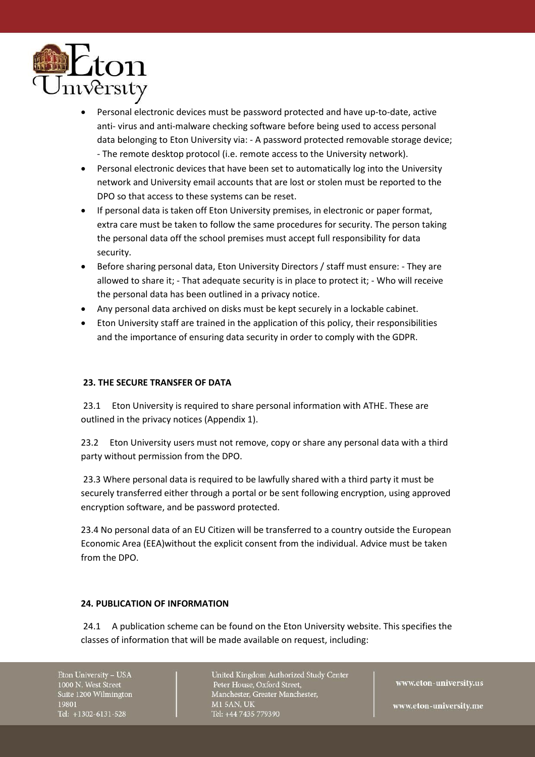

- Personal electronic devices must be password protected and have up-to-date, active anti- virus and anti-malware checking software before being used to access personal data belonging to Eton University via: - A password protected removable storage device; - The remote desktop protocol (i.e. remote access to the University network).
- Personal electronic devices that have been set to automatically log into the University network and University email accounts that are lost or stolen must be reported to the DPO so that access to these systems can be reset.
- If personal data is taken off Eton University premises, in electronic or paper format, extra care must be taken to follow the same procedures for security. The person taking the personal data off the school premises must accept full responsibility for data security.
- Before sharing personal data, Eton University Directors / staff must ensure: They are allowed to share it; - That adequate security is in place to protect it; - Who will receive the personal data has been outlined in a privacy notice.
- Any personal data archived on disks must be kept securely in a lockable cabinet.
- Eton University staff are trained in the application of this policy, their responsibilities and the importance of ensuring data security in order to comply with the GDPR.

# **23. THE SECURE TRANSFER OF DATA**

23.1 Eton University is required to share personal information with ATHE. These are outlined in the privacy notices (Appendix 1).

23.2 Eton University users must not remove, copy or share any personal data with a third party without permission from the DPO.

23.3 Where personal data is required to be lawfully shared with a third party it must be securely transferred either through a portal or be sent following encryption, using approved encryption software, and be password protected.

23.4 No personal data of an EU Citizen will be transferred to a country outside the European Economic Area (EEA)without the explicit consent from the individual. Advice must be taken from the DPO.

# **24. PUBLICATION OF INFORMATION**

24.1 A publication scheme can be found on the Eton University website. This specifies the classes of information that will be made available on request, including:

Eton University - USA 1000 N. West Street Suite 1200 Wilmington 19801 Tel: +1302-6131-528

United Kingdom Authorized Study Center Peter House, Oxford Street, Manchester, Greater Manchester, **M15AN, UK** Tel: +44 7435 779390

www.eton-university.us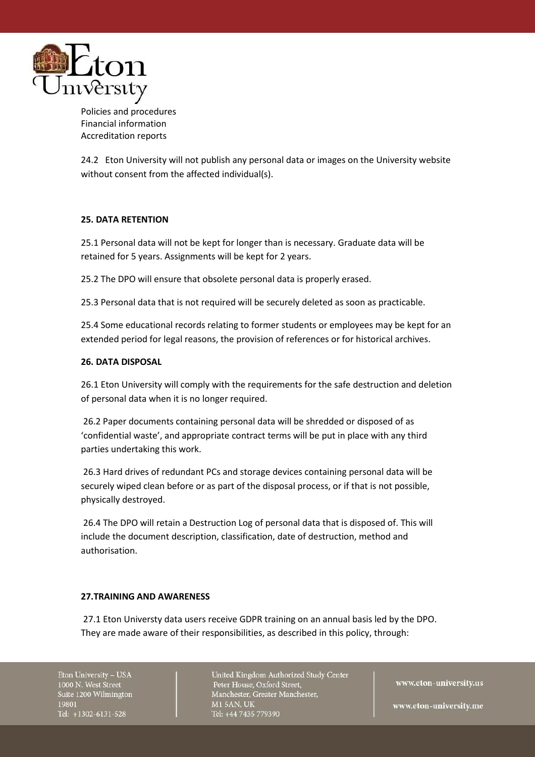

Policies and procedures Financial information Accreditation reports

24.2 Eton University will not publish any personal data or images on the University website without consent from the affected individual(s).

# **25. DATA RETENTION**

25.1 Personal data will not be kept for longer than is necessary. Graduate data will be retained for 5 years. Assignments will be kept for 2 years.

25.2 The DPO will ensure that obsolete personal data is properly erased.

25.3 Personal data that is not required will be securely deleted as soon as practicable.

25.4 Some educational records relating to former students or employees may be kept for an extended period for legal reasons, the provision of references or for historical archives.

# **26. DATA DISPOSAL**

26.1 Eton University will comply with the requirements for the safe destruction and deletion of personal data when it is no longer required.

26.2 Paper documents containing personal data will be shredded or disposed of as 'confidential waste', and appropriate contract terms will be put in place with any third parties undertaking this work.

26.3 Hard drives of redundant PCs and storage devices containing personal data will be securely wiped clean before or as part of the disposal process, or if that is not possible, physically destroyed.

26.4 The DPO will retain a Destruction Log of personal data that is disposed of. This will include the document description, classification, date of destruction, method and authorisation.

### **27.TRAINING AND AWARENESS**

27.1 Eton Universty data users receive GDPR training on an annual basis led by the DPO. They are made aware of their responsibilities, as described in this policy, through:

Eton University - USA 1000 N. West Street Suite 1200 Wilmington 19801 Tel: +1302-6131-528

United Kingdom Authorized Study Center Peter House, Oxford Street, Manchester, Greater Manchester, **M15AN, UK** Tel: +44 7435 779390

www.eton-university.us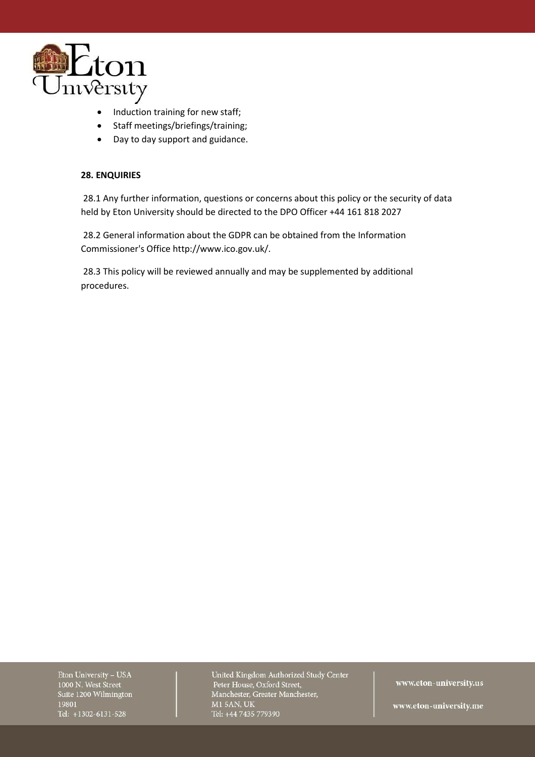

- Induction training for new staff;
- Staff meetings/briefings/training;
- Day to day support and guidance.

# **28. ENQUIRIES**

28.1 Any further information, questions or concerns about this policy or the security of data held by Eton University should be directed to the DPO Officer +44 161 818 2027

28.2 General information about the GDPR can be obtained from the Information Commissioner's Office http://www.ico.gov.uk/.

28.3 This policy will be reviewed annually and may be supplemented by additional procedures.

Eton University - USA 1000 N. West Street Suite 1200 Wilmington 19801 Tel: +1302-6131-528

United Kingdom Authorized Study Center Peter House, Oxford Street, Manchester, Greater Manchester, **M1 5AN, UK** Tel: +44 7435 779390

www.eton-university.us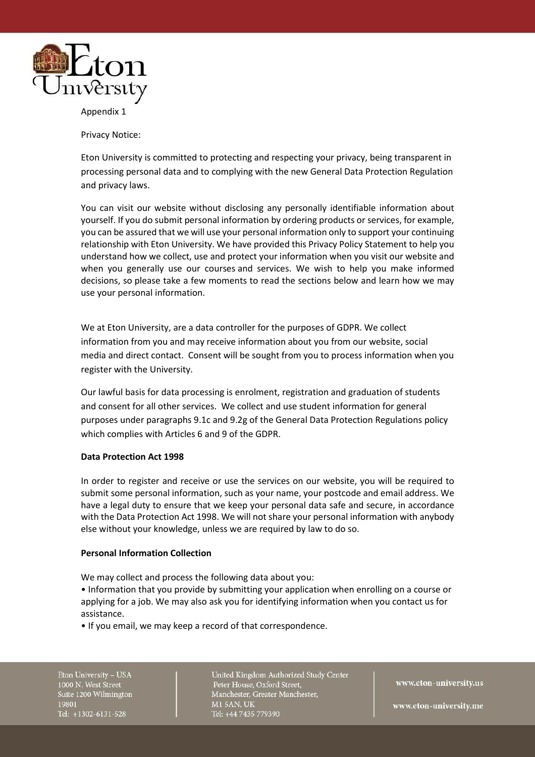

Appendix 1

Privacy Notice:

Eton University is committed to protecting and respecting your privacy, being transparent in processing personal data and to complying with the new General Data Protection Regulation and privacy laws.

You can visit our website without disclosing any personally identifiable information about yourself. If you do submit personal information by ordering products or services, for example, you can be assured that we will use your personal information only to support your continuing relationship with Eton University. We have provided this Privacy Policy Statement to help you understand how we collect, use and protect your information when you visit our website and when you generally use our courses and services. We wish to help you make informed decisions, so please take a few moments to read the sections below and learn how we may use your personal information.

We at Eton University, are a data controller for the purposes of GDPR. We collect information from you and may receive information about you from our website, social media and direct contact. Consent will be sought from you to process information when you register with the University.

Our lawful basis for data processing is enrolment, registration and graduation of students and consent for all other services. We collect and use student information for general purposes under paragraphs 9.1c and 9.2g of the General Data Protection Regulations policy which complies with Articles 6 and 9 of the GDPR.

#### **Data Protection Act 1998**

In order to register and receive or use the services on our website, you will be required to submit some personal information, such as your name, your postcode and email address. We have a legal duty to ensure that we keep your personal data safe and secure, in accordance with the Data Protection Act 1998. We will not share your personal information with anybody else without your knowledge, unless we are required by law to do so.

#### **Personal Information Collection**

We may collect and process the following data about you:

- Information that you provide by submitting your application when enrolling on a course or applying for a job. We may also ask you for identifying information when you contact us for assistance.
- If you email, we may keep a record of that correspondence.

Eton University - USA 1000 N. West Street Suite 1200 Wilmington 19801 Tel: +1302-6131-528

United Kingdom Authorized Study Center Peter House, Oxford Street, Manchester, Greater Manchester, **M15AN, UK** Tel: +44 7435 779390

www.eton-university.us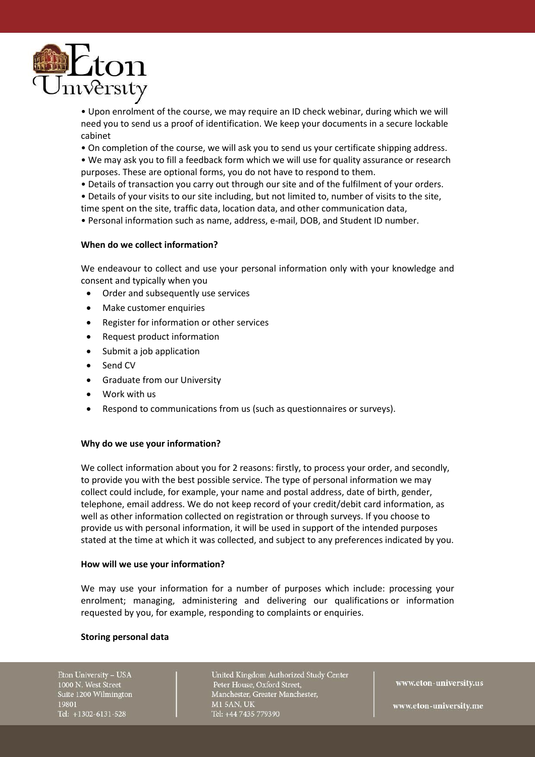

• Upon enrolment of the course, we may require an ID check webinar, during which we will need you to send us a proof of identification. We keep your documents in a secure lockable cabinet

• On completion of the course, we will ask you to send us your certificate shipping address.

- We may ask you to fill a feedback form which we will use for quality assurance or research purposes. These are optional forms, you do not have to respond to them.
- Details of transaction you carry out through our site and of the fulfilment of your orders.
- Details of your visits to our site including, but not limited to, number of visits to the site, time spent on the site, traffic data, location data, and other communication data,
- Personal information such as name, address, e-mail, DOB, and Student ID number.

#### **When do we collect information?**

We endeavour to collect and use your personal information only with your knowledge and consent and typically when you

- Order and subsequently use services
- Make customer enquiries
- Register for information or other services
- Request product information
- Submit a job application
- Send CV
- Graduate from our University
- Work with us
- Respond to communications from us (such as questionnaires or surveys).

#### **Why do we use your information?**

We collect information about you for 2 reasons: firstly, to process your order, and secondly, to provide you with the best possible service. The type of personal information we may collect could include, for example, your name and postal address, date of birth, gender, telephone, email address. We do not keep record of your credit/debit card information, as well as other information collected on registration or through surveys. If you choose to provide us with personal information, it will be used in support of the intended purposes stated at the time at which it was collected, and subject to any preferences indicated by you.

#### **How will we use your information?**

We may use your information for a number of purposes which include: processing your enrolment; managing, administering and delivering our qualifications or information requested by you, for example, responding to complaints or enquiries.

#### **Storing personal data**

Eton University - USA 1000 N. West Street Suite 1200 Wilmington 19801 Tel: +1302-6131-528

United Kingdom Authorized Study Center Peter House, Oxford Street, Manchester, Greater Manchester, **M15AN, UK** Tel: +44 7435 779390

www.eton-university.us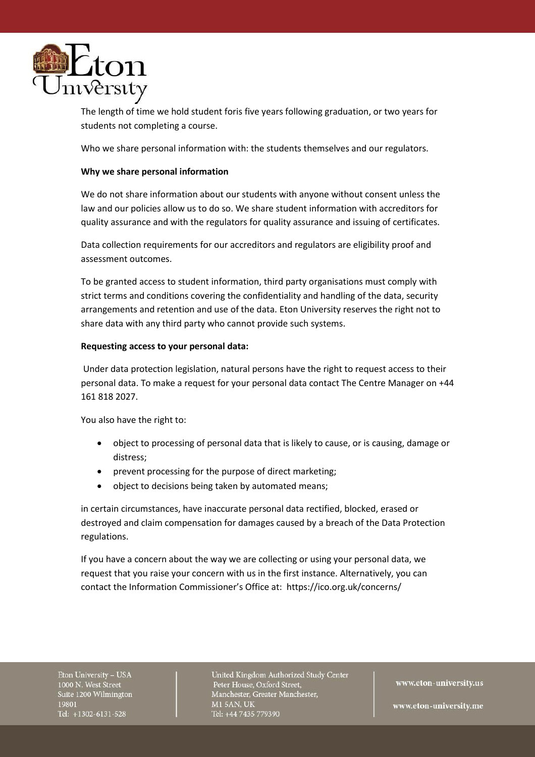

The length of time we hold student foris five years following graduation, or two years for students not completing a course.

Who we share personal information with: the students themselves and our regulators.

### **Why we share personal information**

We do not share information about our students with anyone without consent unless the law and our policies allow us to do so. We share student information with accreditors for quality assurance and with the regulators for quality assurance and issuing of certificates.

Data collection requirements for our accreditors and regulators are eligibility proof and assessment outcomes.

To be granted access to student information, third party organisations must comply with strict terms and conditions covering the confidentiality and handling of the data, security arrangements and retention and use of the data. Eton University reserves the right not to share data with any third party who cannot provide such systems.

#### **Requesting access to your personal data:**

Under data protection legislation, natural persons have the right to request access to their personal data. To make a request for your personal data contact The Centre Manager on +44 161 818 2027.

You also have the right to:

- object to processing of personal data that is likely to cause, or is causing, damage or distress;
- prevent processing for the purpose of direct marketing;
- object to decisions being taken by automated means;

in certain circumstances, have inaccurate personal data rectified, blocked, erased or destroyed and claim compensation for damages caused by a breach of the Data Protection regulations.

If you have a concern about the way we are collecting or using your personal data, we request that you raise your concern with us in the first instance. Alternatively, you can contact the Information Commissioner's Office at: https://ico.org.uk/concerns/

Eton University - USA 1000 N. West Street Suite 1200 Wilmington 19801 Tel: +1302-6131-528

United Kingdom Authorized Study Center Peter House, Oxford Street, Manchester, Greater Manchester, **M15AN, UK** Tel: +44 7435 779390

www.eton-university.us